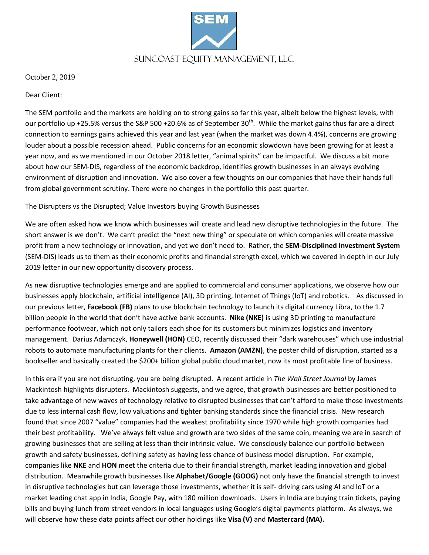

October 2, 2019

Dear Client:

The SEM portfolio and the markets are holding on to strong gains so far this year, albeit below the highest levels, with our portfolio up +25.5% versus the S&P 500 +20.6% as of September  $30^{th}$ . While the market gains thus far are a direct connection to earnings gains achieved this year and last year (when the market was down 4.4%), concerns are growing louder about a possible recession ahead. Public concerns for an economic slowdown have been growing for at least a year now, and as we mentioned in our October 2018 letter, "animal spirits" can be impactful. We discuss a bit more about how our SEM-DIS, regardless of the economic backdrop, identifies growth businesses in an always evolving environment of disruption and innovation. We also cover a few thoughts on our companies that have their hands full from global government scrutiny. There were no changes in the portfolio this past quarter.

# The Disrupters vs the Disrupted; Value Investors buying Growth Businesses

We are often asked how we know which businesses will create and lead new disruptive technologies in the future. The short answer is we don't. We can't predict the "next new thing" or speculate on which companies will create massive profit from a new technology or innovation, and yet we don't need to. Rather, the **SEM-Disciplined Investment System** (SEM-DIS) leads us to them as their economic profits and financial strength excel, which we covered in depth in our July 2019 letter in our new opportunity discovery process.

As new disruptive technologies emerge and are applied to commercial and consumer applications, we observe how our businesses apply blockchain, artificial intelligence (AI), 3D printing, Internet of Things (IoT) and robotics. As discussed in our previous letter, **Facebook (FB)** plans to use blockchain technology to launch its digital currency Libra, to the 1.7 billion people in the world that don't have active bank accounts. **Nike (NKE)** is using 3D printing to manufacture performance footwear, which not only tailors each shoe for its customers but minimizes logistics and inventory management. Darius Adamczyk, **Honeywell (HON)** CEO, recently discussed their "dark warehouses" which use industrial robots to automate manufacturing plants for their clients. **Amazon (AMZN)**, the poster child of disruption, started as a bookseller and basically created the \$200+ billion global public cloud market, now its most profitable line of business.

In this era if you are not disrupting, you are being disrupted. A recent article in *The Wall Street Journal* by James Mackintosh highlights disrupters. Mackintosh suggests, and we agree, that growth businesses are better positioned to take advantage of new waves of technology relative to disrupted businesses that can't afford to make those investments due to less internal cash flow, low valuations and tighter banking standards since the financial crisis. New research found that since 2007 "value" companies had the weakest profitability since 1970 while high growth companies had their best profitability. We've always felt value and growth are two sides of the same coin, meaning we are in search of growing businesses that are selling at less than their intrinsic value. We consciously balance our portfolio between growth and safety businesses, defining safety as having less chance of business model disruption. For example, companies like **NKE** and **HON** meet the criteria due to their financial strength, market leading innovation and global distribution. Meanwhile growth businesses like **Alphabet/Google (GOOG)** not only have the financial strength to invest in disruptive technologies but can leverage those investments, whether it is self- driving cars using AI and IoT or a market leading chat app in India, Google Pay, with 180 million downloads. Users in India are buying train tickets, paying bills and buying lunch from street vendors in local languages using Google's digital payments platform. As always, we will observe how these data points affect our other holdings like **Visa (V)** and **Mastercard (MA).**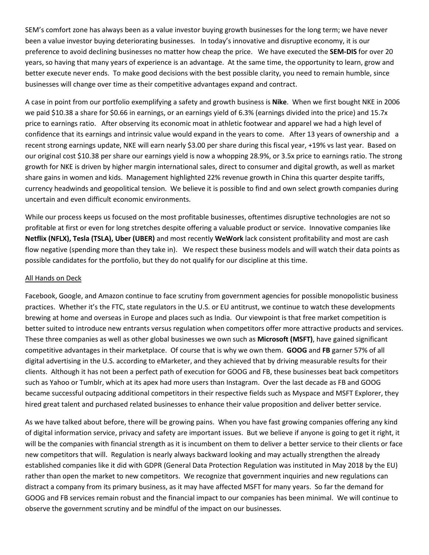SEM's comfort zone has always been as a value investor buying growth businesses for the long term; we have never been a value investor buying deteriorating businesses. In today's innovative and disruptive economy, it is our preference to avoid declining businesses no matter how cheap the price. We have executed the **SEM-DIS** for over 20 years, so having that many years of experience is an advantage. At the same time, the opportunity to learn, grow and better execute never ends. To make good decisions with the best possible clarity, you need to remain humble, since businesses will change over time as their competitive advantages expand and contract.

A case in point from our portfolio exemplifying a safety and growth business is **Nike**. When we first bought NKE in 2006 we paid \$10.38 a share for \$0.66 in earnings, or an earnings yield of 6.3% (earnings divided into the price) and 15.7x price to earnings ratio. After observing its economic moat in athletic footwear and apparel we had a high level of confidence that its earnings and intrinsic value would expand in the years to come. After 13 years of ownership and a recent strong earnings update, NKE will earn nearly \$3.00 per share during this fiscal year, +19% vs last year. Based on our original cost \$10.38 per share our earnings yield is now a whopping 28.9%, or 3.5x price to earnings ratio. The strong growth for NKE is driven by higher margin international sales, direct to consumer and digital growth, as well as market share gains in women and kids. Management highlighted 22% revenue growth in China this quarter despite tariffs, currency headwinds and geopolitical tension. We believe it is possible to find and own select growth companies during uncertain and even difficult economic environments.

While our process keeps us focused on the most profitable businesses, oftentimes disruptive technologies are not so profitable at first or even for long stretches despite offering a valuable product or service. Innovative companies like **Netflix (NFLX), Tesla (TSLA), Uber (UBER)** and most recently **WeWork** lack consistent profitability and most are cash flow negative (spending more than they take in). We respect these business models and will watch their data points as possible candidates for the portfolio, but they do not qualify for our discipline at this time.

#### All Hands on Deck

Facebook, Google, and Amazon continue to face scrutiny from government agencies for possible monopolistic business practices. Whether it's the FTC, state regulators in the U.S. or EU antitrust, we continue to watch these developments brewing at home and overseas in Europe and places such as India. Our viewpoint is that free market competition is better suited to introduce new entrants versus regulation when competitors offer more attractive products and services. These three companies as well as other global businesses we own such as **Microsoft (MSFT)**, have gained significant competitive advantages in their marketplace. Of course that is why we own them. **GOOG** and **FB** garner 57% of all digital advertising in the U.S. according to eMarketer, and they achieved that by driving measurable results for their clients. Although it has not been a perfect path of execution for GOOG and FB, these businesses beat back competitors such as Yahoo or Tumblr, which at its apex had more users than Instagram. Over the last decade as FB and GOOG became successful outpacing additional competitors in their respective fields such as Myspace and MSFT Explorer, they hired great talent and purchased related businesses to enhance their value proposition and deliver better service.

As we have talked about before, there will be growing pains. When you have fast growing companies offering any kind of digital information service, privacy and safety are important issues. But we believe if anyone is going to get it right, it will be the companies with financial strength as it is incumbent on them to deliver a better service to their clients or face new competitors that will. Regulation is nearly always backward looking and may actually strengthen the already established companies like it did with GDPR (General Data Protection Regulation was instituted in May 2018 by the EU) rather than open the market to new competitors. We recognize that government inquiries and new regulations can distract a company from its primary business, as it may have affected MSFT for many years. So far the demand for GOOG and FB services remain robust and the financial impact to our companies has been minimal. We will continue to observe the government scrutiny and be mindful of the impact on our businesses.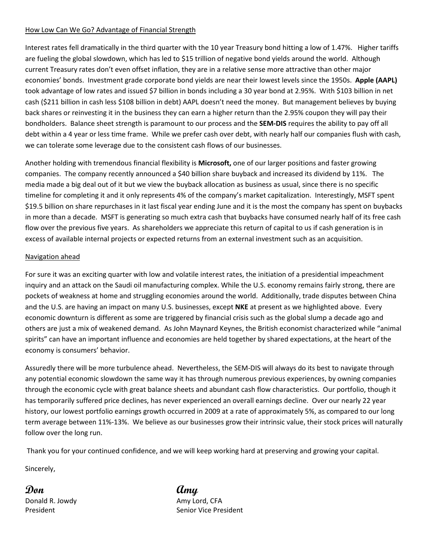# How Low Can We Go? Advantage of Financial Strength

Interest rates fell dramatically in the third quarter with the 10 year Treasury bond hitting a low of 1.47%. Higher tariffs are fueling the global slowdown, which has led to \$15 trillion of negative bond yields around the world. Although current Treasury rates don't even offset inflation, they are in a relative sense more attractive than other major economies' bonds. Investment grade corporate bond yields are near their lowest levels since the 1950s. **Apple (AAPL)** took advantage of low rates and issued \$7 billion in bonds including a 30 year bond at 2.95%. With \$103 billion in net cash (\$211 billion in cash less \$108 billion in debt) AAPL doesn't need the money. But management believes by buying back shares or reinvesting it in the business they can earn a higher return than the 2.95% coupon they will pay their bondholders. Balance sheet strength is paramount to our process and the **SEM-DIS** requires the ability to pay off all debt within a 4 year or less time frame. While we prefer cash over debt, with nearly half our companies flush with cash, we can tolerate some leverage due to the consistent cash flows of our businesses.

Another holding with tremendous financial flexibility is **Microsoft,** one of our larger positions and faster growing companies. The company recently announced a \$40 billion share buyback and increased its dividend by 11%. The media made a big deal out of it but we view the buyback allocation as business as usual, since there is no specific timeline for completing it and it only represents 4% of the company's market capitalization. Interestingly, MSFT spent \$19.5 billion on share repurchases in it last fiscal year ending June and it is the most the company has spent on buybacks in more than a decade. MSFT is generating so much extra cash that buybacks have consumed nearly half of its free cash flow over the previous five years. As shareholders we appreciate this return of capital to us if cash generation is in excess of available internal projects or expected returns from an external investment such as an acquisition.

# Navigation ahead

For sure it was an exciting quarter with low and volatile interest rates, the initiation of a presidential impeachment inquiry and an attack on the Saudi oil manufacturing complex. While the U.S. economy remains fairly strong, there are pockets of weakness at home and struggling economies around the world. Additionally, trade disputes between China and the U.S. are having an impact on many U.S. businesses, except **NKE** at present as we highlighted above. Every economic downturn is different as some are triggered by financial crisis such as the global slump a decade ago and others are just a mix of weakened demand. As John Maynard Keynes, the British economist characterized while "animal spirits" can have an important influence and economies are held together by shared expectations, at the heart of the economy is consumers' behavior.

Assuredly there will be more turbulence ahead. Nevertheless, the SEM-DIS will always do its best to navigate through any potential economic slowdown the same way it has through numerous previous experiences, by owning companies through the economic cycle with great balance sheets and abundant cash flow characteristics. Our portfolio, though it has temporarily suffered price declines, has never experienced an overall earnings decline. Over our nearly 22 year history, our lowest portfolio earnings growth occurred in 2009 at a rate of approximately 5%, as compared to our long term average between 11%-13%. We believe as our businesses grow their intrinsic value, their stock prices will naturally follow over the long run.

Thank you for your continued confidence, and we will keep working hard at preserving and growing your capital.

Sincerely,

**Don Amy** Donald R. Jowdy **Amy Lord, CFA** 

President **Senior Vice President**